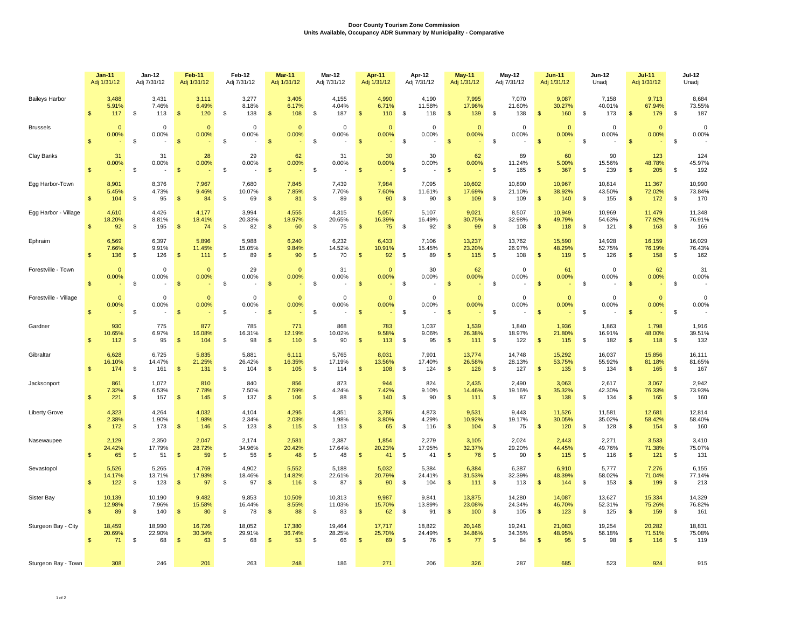## **Door County Tourism Zone Commission Units Available, Occupancy ADR Summary by Municipality - Comparative**

|                       | $Jan-11$                               | $Jan-12$                                   | <b>Feb-11</b>                          | Feb-12                                 | <b>Mar-11</b>                            | Mar-12                           | Apr-11                                      | Apr-12                                  | <b>May-11</b>                           | <b>May-12</b>                     | <b>Jun-11</b>                          | Jun-12                                   | $Jul-11$                                | <b>Jul-12</b>                             |
|-----------------------|----------------------------------------|--------------------------------------------|----------------------------------------|----------------------------------------|------------------------------------------|----------------------------------|---------------------------------------------|-----------------------------------------|-----------------------------------------|-----------------------------------|----------------------------------------|------------------------------------------|-----------------------------------------|-------------------------------------------|
|                       | Adj 1/31/12                            | Adj 7/31/12                                | Adj 1/31/12                            | Adj 7/31/12                            | Adj 1/31/12                              | Adj 7/31/12                      | Adj 1/31/12                                 | Adj 7/31/12                             | Adj 1/31/12                             | Adj 7/31/12                       | Adj 1/31/12                            | Unadj                                    | Adj 1/31/12                             | Unadj                                     |
| <b>Baileys Harbor</b> | 3,488                                  | 3,431                                      | 3,111                                  | 3,277                                  | 3,405                                    | 4,155                            | 4,990                                       | 4,190                                   | 7,995                                   | 7,070                             | 9,087                                  | 7,158                                    | 9,713                                   | 8,684                                     |
|                       | 5.91%                                  | 7.46%                                      | 6.49%                                  | 8.18%                                  | 6.17%                                    | 4.04%                            | 6.71%                                       | 11.58%                                  | 17.96%                                  | 21.60%                            | 30.27%                                 | 40.01%                                   | 67.94%                                  | 73.55%                                    |
|                       | $\mathsf{\$}$                          | \$                                         | $\mathbf{\hat{s}}$                     | \$                                     | $\mathbf{\hat{s}}$                       | \$                               | $\mathbb{S}$                                | \$                                      | <b>S</b>                                | \$                                | $\mathbb{S}$                           | \$                                       | $\mathsf{\$}$                           | 187                                       |
|                       | 117                                    | 113                                        | 120                                    | 138                                    | 108                                      | 187                              | 110                                         | 118                                     | 139                                     | 138                               | 160                                    | 173                                      | 179                                     | \$                                        |
| <b>Brussels</b>       | $\mathbf{0}$<br>0.00%<br>\$            | $\mathbf 0$<br>0.00%<br>\$<br>$\sim$       | $\Omega$<br>0.00%<br>$\mathbf{\$}$     | $\Omega$<br>0.00%<br>\$                | $\mathbf 0$<br>0.00%<br>$\mathsf{\$}$    | $\mathbf 0$<br>0.00%<br>\$       | $\mathbf{0}$<br>0.00%<br>$\mathbf{\hat{S}}$ | $\Omega$<br>0.00%<br>\$                 | $\mathbf{0}$<br>0.00%<br>$\mathbb{S}$   | $\Omega$<br>0.00%<br>\$<br>$\sim$ | $\mathbf{0}$<br>0.00%<br>$\mathbb{S}$  | $\Omega$<br>0.00%<br>\$                  | $\mathbf{0}$<br>0.00%<br>$\mathsf{\$}$  | $\mathbf 0$<br>0.00%<br>\$                |
| Clay Banks            | 31<br>0.00%<br>$\mathbb{S}$            | 31<br>0.00%<br>$\mathbb{S}$<br>$\sim$      | 28<br>0.00%<br>$\mathbf{s}$            | 29<br>0.00%<br>\$                      | 62<br>0.00%<br>$\mathbf{s}$              | 31<br>0.00%<br><b>S</b>          | 30<br>0.00%<br>$\mathbf{s}$                 | 30<br>0.00%<br>$\mathfrak{s}$<br>$\sim$ | 62<br>0.00%<br>$\mathbb{S}$             | 89<br>11.24%<br>\$<br>165         | 60<br>5.00%<br>$\mathbf{s}$<br>367     | 90<br>15.56%<br>\$<br>239                | 123<br>48.78%<br>205<br>$\mathbb{S}$    | 124<br>45.97%<br>192<br>S.                |
| Egg Harbor-Town       | 8,901                                  | 8.376                                      | 7,967                                  | 7.680                                  | 7,845                                    | 7.439                            | 7,984                                       | 7.095                                   | 10.602                                  | 10.890                            | 10.967                                 | 10,814                                   | 11.367                                  | 10,990                                    |
|                       | 5.45%                                  | 4.73%                                      | 9.46%                                  | 10.07%                                 | 7.85%                                    | 7.70%                            | 7.60%                                       | 11.61%                                  | 17.69%                                  | 21.10%                            | 38.92%                                 | 43.50%                                   | 72.02%                                  | 73.84%                                    |
|                       | \$                                     | \$                                         | $\mathbf{\$}$                          | \$                                     | $\mathfrak{s}$                           | \$                               | $\mathbf{s}$                                | $\mathbb{S}$                            | $\mathbb{S}$                            | \$                                | $\mathbb{S}$                           | \$                                       | $\mathsf{\$}$                           | 170                                       |
|                       | 104                                    | 95                                         | 84                                     | 69                                     | 81                                       | 89                               | 90                                          | 90                                      | 109                                     | 109                               | 140                                    | 155                                      | 172                                     | \$                                        |
| Egg Harbor - Village  | 4,610                                  | 4,426                                      | 4,177                                  | 3.994                                  | 4,555                                    | 4,315                            | 5,057                                       | 5.107                                   | 9,021                                   | 8,507                             | 10,949                                 | 10,969                                   | 11,479                                  | 11,348                                    |
|                       | 18.20%                                 | 8.81%                                      | 18.41%                                 | 20.33%                                 | 18.97%                                   | 20.65%                           | 16.39%                                      | 16.49%                                  | 30.75%                                  | 32.98%                            | 49.79%                                 | 54.63%                                   | 77.92%                                  | 76.91%                                    |
|                       | $\mathbf{\$}$                          | \$                                         | $\mathbf{\$}$                          | \$                                     | $\mathbf{\$}$                            | \$                               | $\mathbf{s}$                                | \$                                      | $\mathbf{s}$                            | \$                                | $\mathbb{S}$                           | \$                                       | $\mathsf{\$}$                           | \$                                        |
|                       | 92                                     | 195                                        | 74                                     | 82                                     | 60                                       | 75                               | 75                                          | 92                                      | 99                                      | 108                               | 118                                    | 121                                      | 163                                     | 166                                       |
| Ephraim               | 6,569<br>7.66%<br>\$<br>136            | 6,397<br>9.91%<br>\$<br>126                | 5,896<br>11.45%<br>- \$<br>111         | 5,988<br>15.05%<br>\$<br>89            | 6,240<br>9.84%<br>-S<br>90               | 6,232<br>14.52%<br>\$<br>70      | 6.433<br>10.91%<br>92                       | 7,106<br>15.45%<br>\$<br>89             | 13,237<br>23.20%<br><b>S</b><br>115     | 13,762<br>26.97%<br>\$<br>108     | 15,590<br>48.29%<br>S<br>119           | 14,928<br>52.75%<br>\$<br>126            | 16,159<br>76.19%<br>\$<br>158           | 16,029<br>76.43%<br>162<br>\$             |
| Forestville - Town    | $\Omega$                               | $\Omega$                                   | $\Omega$                               | 29                                     | $\Omega$                                 | 31                               | $\mathbf{0}$                                | 30                                      | 62                                      | $\Omega$                          | 61                                     | $\Omega$                                 | 62                                      | 31                                        |
|                       | 0.00%                                  | 0.00%                                      | 0.00%                                  | 0.00%                                  | 0.00%                                    | 0.00%                            | 0.00%                                       | 0.00%                                   | 0.00%                                   | 0.00%                             | 0.00%                                  | 0.00%                                    | 0.00%                                   | 0.00%                                     |
|                       | $\mathbf{\hat{s}}$                     | s.                                         | $\mathfrak{S}$                         | \$                                     | $\mathbb{S}$                             | \$                               | $\mathbf{s}$                                | $\mathfrak{s}$                          | <b>S</b>                                | \$                                | \$                                     | \$                                       | $\mathfrak{L}$                          | \$                                        |
| Forestville - Village | $\mathbf{0}$<br>0.00%<br>$\mathbf{s}$  | $\mathbf 0$<br>0.00%<br><b>S</b><br>$\sim$ | $\mathbf{0}$<br>0.00%<br>$\mathbf{s}$  | $\Omega$<br>0.00%<br>\$                | $\Omega$<br>0.00%<br>$\mathbf{s}$        | $\mathbf 0$<br>0.00%<br><b>S</b> | $\mathbf{0}$<br>0.00%<br>$\mathbf{s}$       | $\mathbf 0$<br>0.00%<br>\$              | $\mathbf{0}$<br>0.00%<br>$\mathbb{S}$   | $\Omega$<br>0.00%<br>\$           | $\mathbf{0}$<br>0.00%<br>$\mathbf{s}$  | $\mathbf 0$<br>0.00%<br>\$               | $\mathbf{0}$<br>0.00%<br>$\mathbf{s}$   | $\mathbf 0$<br>0.00%<br><b>S</b>          |
| Gardner               | 930                                    | 775                                        | 877                                    | 785                                    | 771                                      | 868                              | 783                                         | 1,037                                   | 1,539                                   | 1,840                             | 1,936                                  | 1,863                                    | 1,798                                   | 1,916                                     |
|                       | 10.65%                                 | 6.97%                                      | 16.08%                                 | 16.31%                                 | 12.19%                                   | 10.02%                           | 9.58%                                       | 9.06%                                   | 26.38%                                  | 18.97%                            | 21.80%                                 | 16.91%                                   | 48.00%                                  | 39.51%                                    |
|                       | $\mathbf{\$}$                          | \$                                         | $\mathbf{s}$                           | \$                                     | $\mathcal{S}$                            | \$                               | $\mathbf{s}$                                | \$                                      | $\mathbf{s}$                            | \$                                | $\mathbf{s}$                           | \$                                       | $\mathbb{S}$                            | 132                                       |
|                       | 112                                    | 95                                         | 104                                    | 98                                     | 110                                      | 90                               | 113                                         | 95                                      | 111                                     | 122                               | 115                                    | 182                                      | 118                                     | \$                                        |
| Gibraltar             | 6,628                                  | 6,725                                      | 5,835                                  | 5,881                                  | 6,111                                    | 5,765                            | 8,031                                       | 7,901                                   | 13,774                                  | 14,748                            | 15,292                                 | 16,037                                   | 15,856                                  | 16,111                                    |
|                       | 16.10%                                 | 14.47%                                     | 21.25%                                 | 26.42%                                 | 16.35%                                   | 17.19%                           | 13.56%                                      | 17.40%                                  | 26.58%                                  | 28.13%                            | 53.75%                                 | 55.92%                                   | 81.18%                                  | 81.65%                                    |
|                       | $\mathfrak{L}$                         | \$                                         | $\mathbf{s}$                           | \$                                     | -\$                                      | \$                               | $\mathbf{s}$                                | \$                                      | $\mathbb{S}$                            | \$                                | $\mathfrak{s}$                         | \$                                       | $\mathsf{\$}$                           | \$                                        |
|                       | 174                                    | 161                                        | 131                                    | 104                                    | 105                                      | 114                              | 108                                         | 124                                     | 126                                     | 127                               | 135                                    | 134                                      | 165                                     | 167                                       |
| Jacksonport           | 861                                    | 1,072                                      | 810                                    | 840                                    | 856                                      | 873                              | 944                                         | 824                                     | 2,435                                   | 2,490                             | 3,063                                  | 2,617                                    | 3,067                                   | 2,942                                     |
|                       | 7.32%                                  | 6.53%                                      | 7.78%                                  | 7.50%                                  | 7.59%                                    | 4.24%                            | 7.42%                                       | 9.10%                                   | 14.46%                                  | 19.16%                            | 35.32%                                 | 42.30%                                   | 76.33%                                  | 73.93%                                    |
|                       | $\mathfrak{L}$                         | \$                                         | $\mathfrak{s}$                         | \$                                     | $\mathbf{s}$                             | \$                               | $\mathbf{s}$                                | $\mathfrak{s}$                          | $\mathbf{s}$                            | \$                                | $\mathbf{s}$                           | \$                                       | $\mathbf{s}$                            | 160                                       |
|                       | 221                                    | 157                                        | 145                                    | 137                                    | 106                                      | 88                               | 140                                         | 90                                      | 111                                     | 87                                | 138                                    | 134                                      | 165                                     | <b>S</b>                                  |
| <b>Liberty Grove</b>  | 4,323                                  | 4,264                                      | 4,032                                  | 4,104                                  | 4,295                                    | 4,351                            | 3,786                                       | 4,873                                   | 9,531                                   | 9,443                             | 11,526                                 | 11,581                                   | 12,681                                  | 12,814                                    |
|                       | 2.38%                                  | 1.90%                                      | 1.98%                                  | 2.34%                                  | 2.03%                                    | 1.98%                            | 3.80%                                       | 4.29%                                   | 10.92%                                  | 19.17%                            | 30.05%                                 | 35.02%                                   | 58.42%                                  | 58.40%                                    |
|                       | $\mathbf{\$}$                          | s.                                         | $\mathbf{s}$                           | \$                                     | $\mathcal{S}$                            | \$                               | $\mathbf{s}$                                | \$                                      | $\mathbf{s}$                            | \$                                | \$.                                    | \$                                       | $\mathbf{\$}$                           | $\mathfrak{s}$                            |
|                       | 172                                    | 173                                        | 146                                    | 123                                    | 115                                      | 113                              | 65                                          | 116                                     | 104                                     | 75                                | 120                                    | 128                                      | 154                                     | 160                                       |
| Nasewaupee            | 2,129                                  | 2,350                                      | 2,047                                  | 2,174                                  | 2,581                                    | 2,387                            | 1,854                                       | 2,279                                   | 3,105                                   | 2,024                             | 2,443                                  | 2,271                                    | 3,533                                   | 3,410                                     |
|                       | 24.42%                                 | 17.79%                                     | 28.72%                                 | 34.96%                                 | 20.42%                                   | 17.64%                           | 20.23%                                      | 17.95%                                  | 32.37%                                  | 29.20%                            | 44.45%                                 | 49.76%                                   | 71.38%                                  | 75.07%                                    |
|                       | $\mathbf{\$}$                          | s.                                         | $\mathcal{S}$                          | \$                                     | $\mathbf{s}$                             | \$                               | $\mathbf{s}$                                | \$                                      | $\mathbf{s}$                            | \$                                | \$                                     | \$                                       | $\mathfrak{L}$                          | 131                                       |
|                       | 65                                     | 51                                         | 59                                     | 56                                     | 48                                       | 48                               | 41                                          | 41                                      | 76                                      | 90                                | 115                                    | 116                                      | 121                                     | \$                                        |
| Sevastopol            | 5,526                                  | 5,265                                      | 4.769                                  | 4,902                                  | 5,552                                    | 5.188                            | 5.032                                       | 5.384                                   | 6.384                                   | 6,387                             | 6.910                                  | 5.777                                    | 7,276                                   | 6,155                                     |
|                       | 14.17%                                 | 13.71%                                     | 17.93%                                 | 18.46%                                 | 14.82%                                   | 22.61%                           | 20.79%                                      | 24.41%                                  | 31.53%                                  | 32.39%                            | 48.39%                                 | 58.02%                                   | 71.04%                                  | 77.14%                                    |
|                       | $\mathsf{\$}$                          | \$                                         | $\mathbf{\$}$                          | \$                                     | $\mathbf{\$}$                            | \$                               | $\mathbf{s}$                                | \$                                      | <b>S</b>                                | \$                                | <b>S</b>                               | \$                                       | $\mathsf{\$}$                           | \$                                        |
|                       | 122                                    | 123                                        | 97                                     | 97                                     | 116                                      | 87                               | 90                                          | 104                                     | 111                                     | 113                               | 144                                    | 153                                      | 199                                     | 213                                       |
| Sister Bay            | 10,139                                 | 10,190                                     | 9,482                                  | 9,853                                  | 10,509                                   | 10,313                           | 9,987                                       | 9,841                                   | 13,875                                  | 14,280                            | 14,087                                 | 13,627                                   | 15,334                                  | 14,329                                    |
|                       | 12.98%                                 | 7.96%                                      | 15.58%                                 | 16.44%                                 | 8.55%                                    | 11.03%                           | 15.70%                                      | 13.89%                                  | 23.08%                                  | 24.34%                            | 46.70%                                 | 52.31%                                   | 75.26%                                  | 76.82%                                    |
|                       | $\mathsf{\$}$                          | \$                                         | $\mathbf{s}$                           | \$                                     | 88                                       | \$                               | 62                                          | \$                                      | 100                                     | $\mathbb{S}$                      | 123                                    | $\mathfrak s$                            | 159                                     | \$                                        |
|                       | 89                                     | 140                                        | 80                                     | 78                                     | -\$                                      | 83                               | $\mathcal{S}$                               | 91                                      | $\mathbb{S}$                            | 105                               | $\mathsf{\$}$                          | 125                                      | $\mathbb{S}$                            | 161                                       |
| Sturgeon Bay - City   | 18,459<br>20.69%<br>$\mathbb{S}$<br>71 | 18,990<br>22.90%<br>\$<br>68               | 16,726<br>30.34%<br>$\mathbb{S}$<br>63 | 18,052<br>29.91%<br>$\mathbb{S}$<br>68 | 17,380<br>36.74%<br>$\mathfrak{s}$<br>53 | 19,464<br>28.25%<br>\$<br>66     | 17,717<br>25.70%<br>69                      | 18,822<br>24.49%<br>\$<br>76            | 20,146<br>34.86%<br>$\mathcal{R}$<br>77 | 19,241<br>34.35%<br>\$<br>84      | 21,083<br>48.95%<br>$\mathbb{S}$<br>95 | 19,254<br>56.18%<br>$\mathfrak{s}$<br>98 | 20,282<br>71.51%<br>$\mathbb{S}$<br>116 | 18,831<br>75.08%<br>$\mathfrak{s}$<br>119 |
| Sturgeon Bay - Town   | 308                                    | 246                                        | 201                                    | 263                                    | 248                                      | 186                              | 271                                         | 206                                     | 326                                     | 287                               | 685                                    | 523                                      | 924                                     | 915                                       |